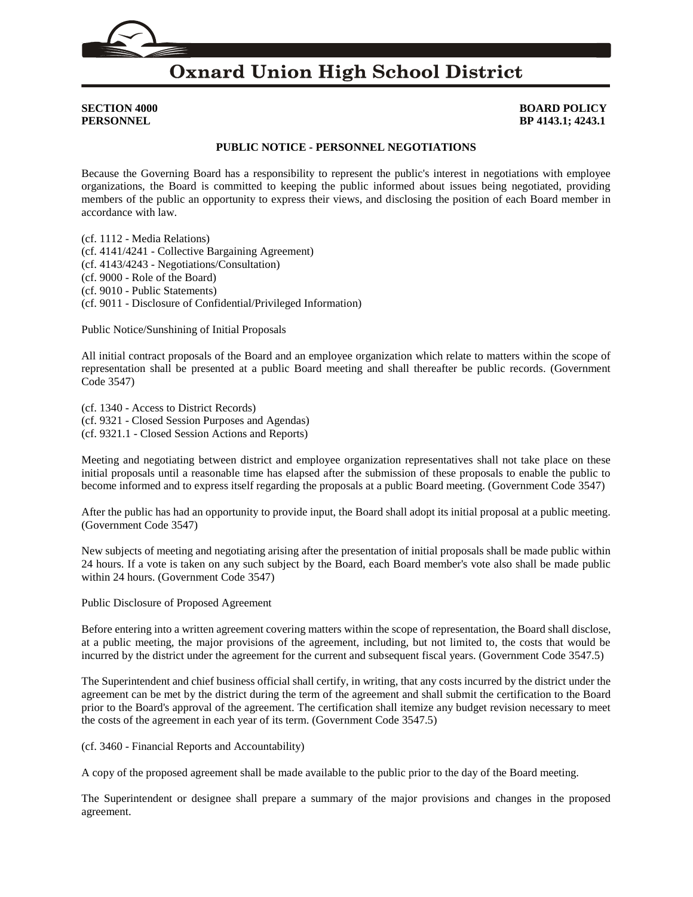

# **Oxnard Union High School District**

### **SECTION 4000 BOARD POLICY PERSONNEL BP 4143.1; 4243.1**

### **PUBLIC NOTICE - PERSONNEL NEGOTIATIONS**

Because the Governing Board has a responsibility to represent the public's interest in negotiations with employee organizations, the Board is committed to keeping the public informed about issues being negotiated, providing members of the public an opportunity to express their views, and disclosing the position of each Board member in accordance with law.

(cf. [1112](http://gamutonline.net/displayPolicy/171199/4) - Media Relations) (cf. [4141](http://gamutonline.net/displayPolicy/170793/4)[/4241](http://gamutonline.net/displayPolicy/171316/4) - Collective Bargaining Agreement) (cf. [4143](http://gamutonline.net/displayPolicy/170796/4)[/4243](http://gamutonline.net/displayPolicy/171319/4) - Negotiations/Consultation) (cf. [9000](http://gamutonline.net/displayPolicy/234094/4) - Role of the Board) (cf. [9010](http://gamutonline.net/displayPolicy/171068/4) - Public Statements) (cf. [9011](http://gamutonline.net/displayPolicy/288786/4) - Disclosure of Confidential/Privileged Information)

Public Notice/Sunshining of Initial Proposals

All initial contract proposals of the Board and an employee organization which relate to matters within the scope of representation shall be presented at a public Board meeting and shall thereafter be public records. (Government Code [3547\)](http://gamutonline.net/displayPolicy/144430/4)

(cf. [1340](http://gamutonline.net/displayPolicy/1074995/4) - Access to District Records) (cf. [9321](http://gamutonline.net/displayPolicy/352674/4) - Closed Session Purposes and Agendas) (cf. [9321.1](http://gamutonline.net/displayPolicy/171558/4) - Closed Session Actions and Reports)

Meeting and negotiating between district and employee organization representatives shall not take place on these initial proposals until a reasonable time has elapsed after the submission of these proposals to enable the public to become informed and to express itself regarding the proposals at a public Board meeting. (Government Code [3547\)](http://gamutonline.net/displayPolicy/144430/4)

After the public has had an opportunity to provide input, the Board shall adopt its initial proposal at a public meeting. (Government Code [3547\)](http://gamutonline.net/displayPolicy/144430/4)

New subjects of meeting and negotiating arising after the presentation of initial proposals shall be made public within 24 hours. If a vote is taken on any such subject by the Board, each Board member's vote also shall be made public within 24 hours. (Government Code [3547\)](http://gamutonline.net/displayPolicy/144430/4)

Public Disclosure of Proposed Agreement

Before entering into a written agreement covering matters within the scope of representation, the Board shall disclose, at a public meeting, the major provisions of the agreement, including, but not limited to, the costs that would be incurred by the district under the agreement for the current and subsequent fiscal years. (Government Code [3547.5\)](http://gamutonline.net/displayPolicy/144431/4)

The Superintendent and chief business official shall certify, in writing, that any costs incurred by the district under the agreement can be met by the district during the term of the agreement and shall submit the certification to the Board prior to the Board's approval of the agreement. The certification shall itemize any budget revision necessary to meet the costs of the agreement in each year of its term. (Government Code [3547.5\)](http://gamutonline.net/displayPolicy/144431/4)

(cf. [3460](http://gamutonline.net/displayPolicy/352639/4) - Financial Reports and Accountability)

A copy of the proposed agreement shall be made available to the public prior to the day of the Board meeting.

The Superintendent or designee shall prepare a summary of the major provisions and changes in the proposed agreement.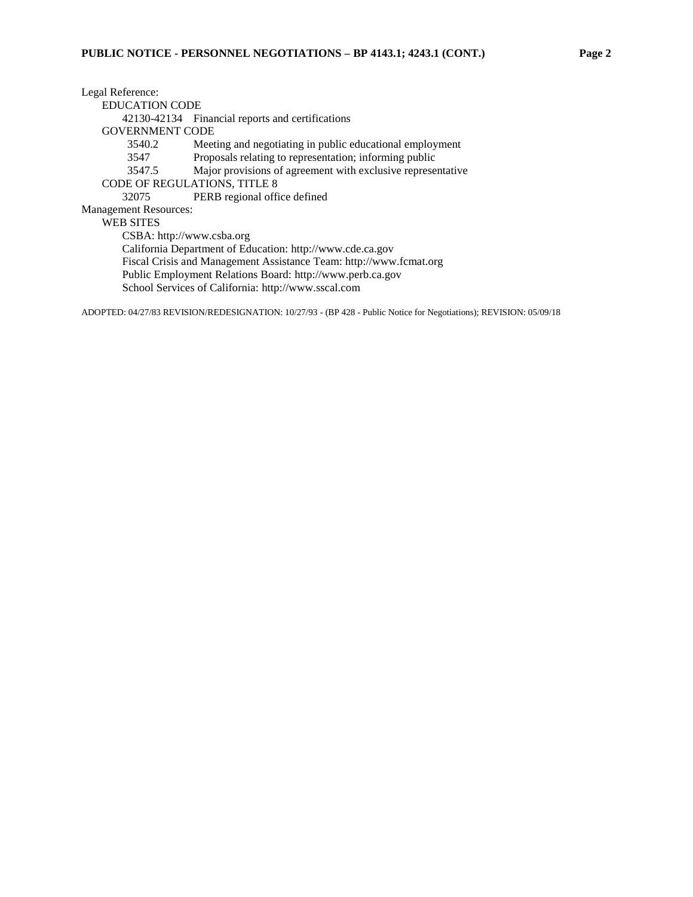Legal Reference: EDUCATION CODE [42130](http://gamutonline.net/displayPolicy/131545/4)[-42134](http://gamutonline.net/displayPolicy/131550/4) Financial reports and certifications GOVERNMENT CODE [3540.2](http://gamutonline.net/displayPolicy/144410/4) Meeting and negotiating in public educational employment [3547](http://gamutonline.net/displayPolicy/144430/4) Proposals relating to representation; informing public [3547.5](http://gamutonline.net/displayPolicy/144431/4) Major provisions of agreement with exclusive representative CODE OF REGULATIONS, TITLE 8 [32075](http://gamutonline.net/displayPolicy/296065/4) PERB regional office defined Management Resources: WEB SITES CSBA: [http://www.csba.org](http://www.csba.org/) California Department of Education: [http://www.cde.ca.gov](http://www.cde.ca.gov/) Fiscal Crisis and Management Assistance Team: [http://www.fcmat.org](http://www.fcmat.org/) Public Employment Relations Board: [http://www.perb.ca.gov](http://www.perb.ca.gov/) School Services of California: [http://www.sscal.com](http://www.sscal.com/)

ADOPTED: 04/27/83 REVISION/REDESIGNATION: 10/27/93 - (BP 428 - Public Notice for Negotiations); REVISION: 05/09/18